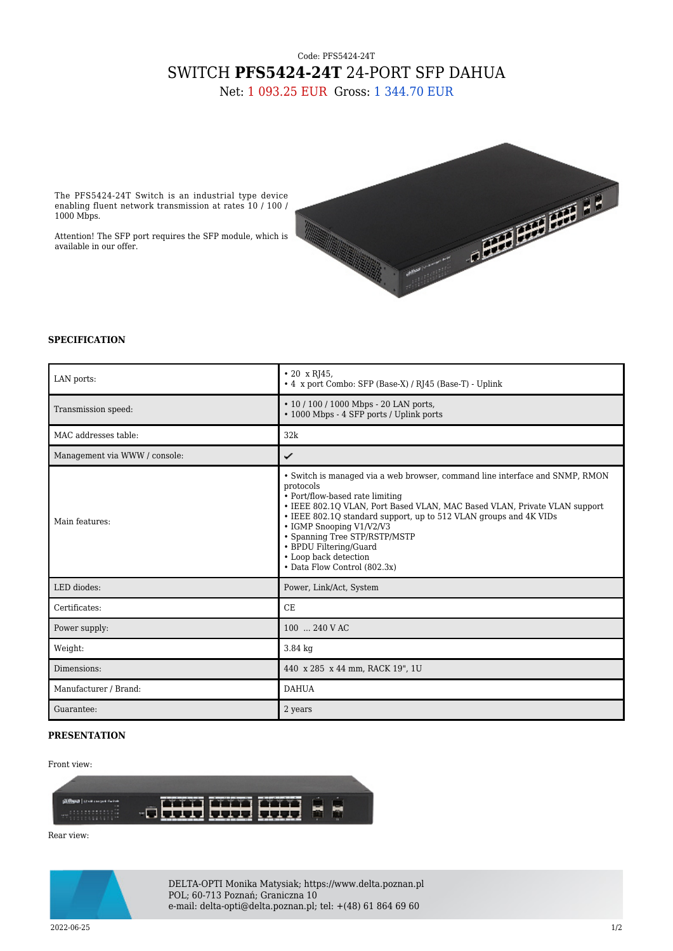## Code: PFS5424-24T SWITCH **PFS5424-24T** 24-PORT SFP DAHUA

Net: 1 093.25 EUR Gross: 1 344.70 EUR

The PFS5424-24T Switch is an industrial type device enabling fluent network transmission at rates 10 / 100 / 1000 Mbps.

Attention! The SFP port requires the SFP module, which is available in our offer.



## **SPECIFICATION**

| LAN ports:                    | $\cdot$ 20 x RJ45,<br>• 4 x port Combo: SFP (Base-X) / RJ45 (Base-T) - Uplink                                                                                                                                                                                                                                                                                                                                                  |
|-------------------------------|--------------------------------------------------------------------------------------------------------------------------------------------------------------------------------------------------------------------------------------------------------------------------------------------------------------------------------------------------------------------------------------------------------------------------------|
| Transmission speed:           | • 10 / 100 / 1000 Mbps - 20 LAN ports,<br>• 1000 Mbps - 4 SFP ports / Uplink ports                                                                                                                                                                                                                                                                                                                                             |
| MAC addresses table:          | 32k                                                                                                                                                                                                                                                                                                                                                                                                                            |
| Management via WWW / console: | ✓                                                                                                                                                                                                                                                                                                                                                                                                                              |
| Main features:                | · Switch is managed via a web browser, command line interface and SNMP, RMON<br>protocols<br>• Port/flow-based rate limiting<br>• IEEE 802.10 VLAN, Port Based VLAN, MAC Based VLAN, Private VLAN support<br>• IEEE 802.1Q standard support, up to 512 VLAN groups and 4K VIDs<br>• IGMP Snooping V1/V2/V3<br>• Spanning Tree STP/RSTP/MSTP<br>• BPDU Filtering/Guard<br>• Loop back detection<br>• Data Flow Control (802.3x) |
| LED diodes:                   | Power, Link/Act, System                                                                                                                                                                                                                                                                                                                                                                                                        |
| Certificates:                 | <b>CE</b>                                                                                                                                                                                                                                                                                                                                                                                                                      |
| Power supply:                 | 100  240 V AC                                                                                                                                                                                                                                                                                                                                                                                                                  |
| Weight:                       | $3.84$ kg                                                                                                                                                                                                                                                                                                                                                                                                                      |
| Dimensions:                   | 440 x 285 x 44 mm, RACK 19", 1U                                                                                                                                                                                                                                                                                                                                                                                                |
| Manufacturer / Brand:         | <b>DAHUA</b>                                                                                                                                                                                                                                                                                                                                                                                                                   |
| Guarantee:                    | 2 years                                                                                                                                                                                                                                                                                                                                                                                                                        |

## **PRESENTATION**

## Front view:



Rear view:



DELTA-OPTI Monika Matysiak; https://www.delta.poznan.pl POL; 60-713 Poznań; Graniczna 10 e-mail: delta-opti@delta.poznan.pl; tel: +(48) 61 864 69 60